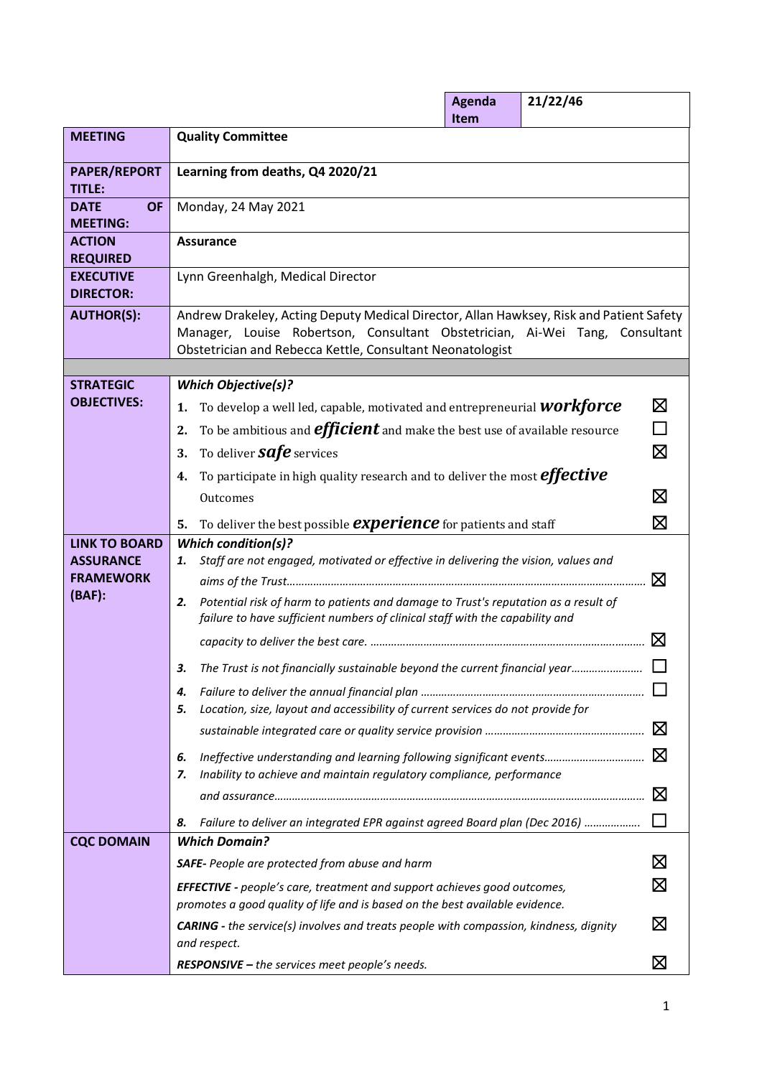|                                             |                                                                                                                        | <b>Agenda</b><br>Item                                                                                                                                                                                                               | 21/22/46 |             |  |  |  |  |  |  |
|---------------------------------------------|------------------------------------------------------------------------------------------------------------------------|-------------------------------------------------------------------------------------------------------------------------------------------------------------------------------------------------------------------------------------|----------|-------------|--|--|--|--|--|--|
| <b>MEETING</b>                              | <b>Quality Committee</b>                                                                                               |                                                                                                                                                                                                                                     |          |             |  |  |  |  |  |  |
| <b>PAPER/REPORT</b><br><b>TITLE:</b>        | Learning from deaths, Q4 2020/21                                                                                       |                                                                                                                                                                                                                                     |          |             |  |  |  |  |  |  |
| <b>DATE</b><br><b>OF</b><br><b>MEETING:</b> | Monday, 24 May 2021                                                                                                    |                                                                                                                                                                                                                                     |          |             |  |  |  |  |  |  |
| <b>ACTION</b><br><b>REQUIRED</b>            | <b>Assurance</b>                                                                                                       |                                                                                                                                                                                                                                     |          |             |  |  |  |  |  |  |
| <b>EXECUTIVE</b><br><b>DIRECTOR:</b>        | Lynn Greenhalgh, Medical Director                                                                                      |                                                                                                                                                                                                                                     |          |             |  |  |  |  |  |  |
| <b>AUTHOR(S):</b>                           |                                                                                                                        | Andrew Drakeley, Acting Deputy Medical Director, Allan Hawksey, Risk and Patient Safety<br>Manager, Louise Robertson, Consultant Obstetrician, Ai-Wei Tang, Consultant<br>Obstetrician and Rebecca Kettle, Consultant Neonatologist |          |             |  |  |  |  |  |  |
|                                             |                                                                                                                        |                                                                                                                                                                                                                                     |          |             |  |  |  |  |  |  |
| <b>STRATEGIC</b><br><b>OBJECTIVES:</b>      | <b>Which Objective(s)?</b>                                                                                             |                                                                                                                                                                                                                                     |          | $\boxtimes$ |  |  |  |  |  |  |
|                                             | To develop a well led, capable, motivated and entrepreneurial <b>WOTRfOTCE</b><br>1.                                   |                                                                                                                                                                                                                                     |          | ┑           |  |  |  |  |  |  |
|                                             | To be ambitious and <b>efficient</b> and make the best use of available resource<br>2.                                 |                                                                                                                                                                                                                                     |          | $\boxtimes$ |  |  |  |  |  |  |
|                                             | To deliver <b>Safe</b> services<br>3.                                                                                  |                                                                                                                                                                                                                                     |          |             |  |  |  |  |  |  |
|                                             | To participate in high quality research and to deliver the most <i>effective</i><br>4.                                 |                                                                                                                                                                                                                                     |          |             |  |  |  |  |  |  |
|                                             | Outcomes                                                                                                               |                                                                                                                                                                                                                                     |          | $\boxtimes$ |  |  |  |  |  |  |
|                                             | To deliver the best possible <b>experience</b> for patients and staff<br>5.                                            |                                                                                                                                                                                                                                     |          | $\boxtimes$ |  |  |  |  |  |  |
| <b>LINK TO BOARD</b><br><b>ASSURANCE</b>    | <b>Which condition(s)?</b><br>Staff are not engaged, motivated or effective in delivering the vision, values and<br>1. |                                                                                                                                                                                                                                     |          |             |  |  |  |  |  |  |
| <b>FRAMEWORK</b>                            |                                                                                                                        |                                                                                                                                                                                                                                     |          | $\boxtimes$ |  |  |  |  |  |  |
| (BAF):                                      | Potential risk of harm to patients and damage to Trust's reputation as a result of<br>2.                               |                                                                                                                                                                                                                                     |          |             |  |  |  |  |  |  |
|                                             | failure to have sufficient numbers of clinical staff with the capability and                                           |                                                                                                                                                                                                                                     |          |             |  |  |  |  |  |  |
|                                             |                                                                                                                        |                                                                                                                                                                                                                                     |          | $\boxtimes$ |  |  |  |  |  |  |
|                                             | The Trust is not financially sustainable beyond the current financial year                                             |                                                                                                                                                                                                                                     |          |             |  |  |  |  |  |  |
|                                             | 4.                                                                                                                     |                                                                                                                                                                                                                                     |          |             |  |  |  |  |  |  |
|                                             | Location, size, layout and accessibility of current services do not provide for<br>5.                                  |                                                                                                                                                                                                                                     |          |             |  |  |  |  |  |  |
|                                             |                                                                                                                        |                                                                                                                                                                                                                                     |          | $\boxtimes$ |  |  |  |  |  |  |
|                                             | Ineffective understanding and learning following significant events<br>6.                                              |                                                                                                                                                                                                                                     |          | $\boxtimes$ |  |  |  |  |  |  |
|                                             | Inability to achieve and maintain regulatory compliance, performance<br>7.                                             |                                                                                                                                                                                                                                     |          |             |  |  |  |  |  |  |
|                                             |                                                                                                                        |                                                                                                                                                                                                                                     |          | $\boxtimes$ |  |  |  |  |  |  |
|                                             | Failure to deliver an integrated EPR against agreed Board plan (Dec 2016)<br>8.                                        |                                                                                                                                                                                                                                     |          |             |  |  |  |  |  |  |
| <b>CQC DOMAIN</b>                           | <b>Which Domain?</b>                                                                                                   |                                                                                                                                                                                                                                     |          |             |  |  |  |  |  |  |
|                                             | <b>SAFE-</b> People are protected from abuse and harm                                                                  |                                                                                                                                                                                                                                     |          | $\boxtimes$ |  |  |  |  |  |  |
|                                             | <b>EFFECTIVE</b> - people's care, treatment and support achieves good outcomes,                                        |                                                                                                                                                                                                                                     |          | $\boxtimes$ |  |  |  |  |  |  |
|                                             | promotes a good quality of life and is based on the best available evidence.                                           |                                                                                                                                                                                                                                     |          |             |  |  |  |  |  |  |
|                                             | <b>CARING</b> - the service(s) involves and treats people with compassion, kindness, dignity<br>and respect.           |                                                                                                                                                                                                                                     |          | $\boxtimes$ |  |  |  |  |  |  |
|                                             | RESPONSIVE - the services meet people's needs.                                                                         |                                                                                                                                                                                                                                     |          | $\boxtimes$ |  |  |  |  |  |  |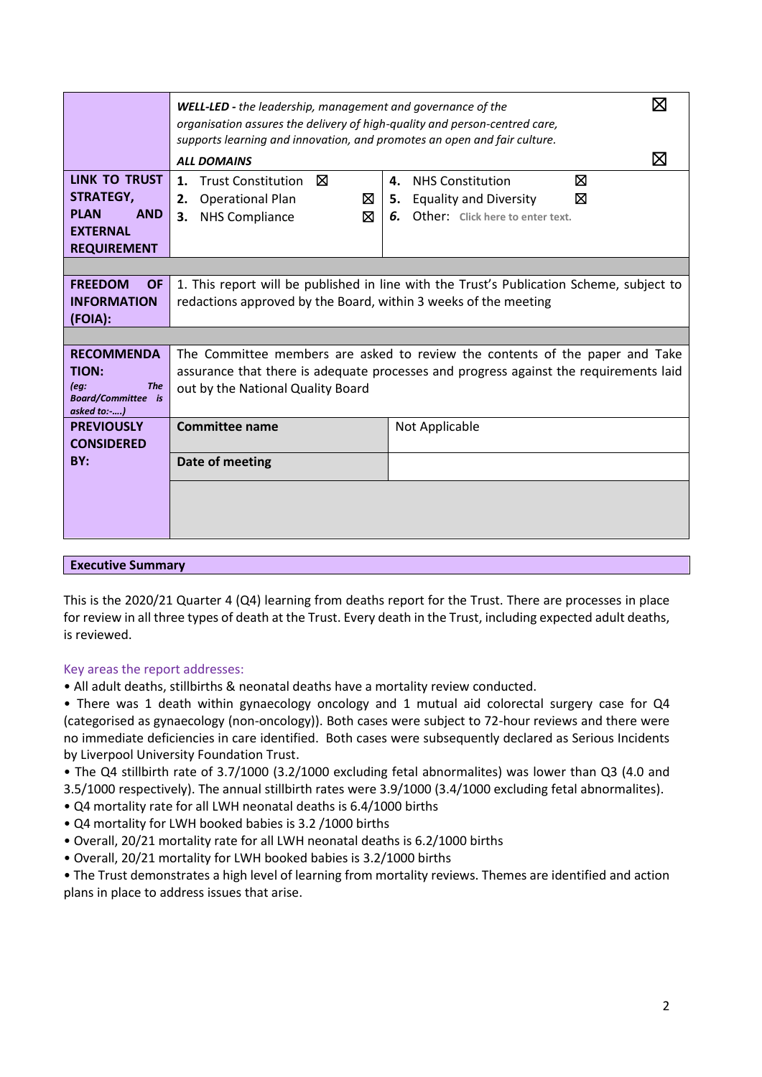|                                          | <b>WELL-LED</b> - the leadership, management and governance of the                                                                                     |                                                                                          | ⊠ |  |  |  |  |  |  |
|------------------------------------------|--------------------------------------------------------------------------------------------------------------------------------------------------------|------------------------------------------------------------------------------------------|---|--|--|--|--|--|--|
|                                          | organisation assures the delivery of high-quality and person-centred care,<br>supports learning and innovation, and promotes an open and fair culture. |                                                                                          |   |  |  |  |  |  |  |
|                                          | M<br><b>ALL DOMAINS</b>                                                                                                                                |                                                                                          |   |  |  |  |  |  |  |
| LINK TO TRUST                            | Trust Constitution <b>X</b><br>1.                                                                                                                      | <b>NHS Constitution</b><br>⊠<br>4.                                                       |   |  |  |  |  |  |  |
| <b>STRATEGY,</b>                         | ⊠<br><b>Operational Plan</b><br>2.                                                                                                                     | ⊠<br><b>Equality and Diversity</b><br>5.                                                 |   |  |  |  |  |  |  |
| <b>PLAN</b><br><b>AND</b>                | ⊠<br><b>NHS Compliance</b><br>3.                                                                                                                       | 6.<br>Other: Click here to enter text.                                                   |   |  |  |  |  |  |  |
| <b>EXTERNAL</b><br><b>REQUIREMENT</b>    |                                                                                                                                                        |                                                                                          |   |  |  |  |  |  |  |
|                                          |                                                                                                                                                        |                                                                                          |   |  |  |  |  |  |  |
| <b>FREEDOM</b><br><b>OF</b>              |                                                                                                                                                        | 1. This report will be published in line with the Trust's Publication Scheme, subject to |   |  |  |  |  |  |  |
| <b>INFORMATION</b>                       | redactions approved by the Board, within 3 weeks of the meeting                                                                                        |                                                                                          |   |  |  |  |  |  |  |
| (FOIA):                                  |                                                                                                                                                        |                                                                                          |   |  |  |  |  |  |  |
|                                          |                                                                                                                                                        |                                                                                          |   |  |  |  |  |  |  |
| <b>RECOMMENDA</b>                        |                                                                                                                                                        | The Committee members are asked to review the contents of the paper and Take             |   |  |  |  |  |  |  |
| TION:<br><b>The</b><br>[eq:              |                                                                                                                                                        | assurance that there is adequate processes and progress against the requirements laid    |   |  |  |  |  |  |  |
| <b>Board/Committee</b> is<br>asked to:-) | out by the National Quality Board                                                                                                                      |                                                                                          |   |  |  |  |  |  |  |
| <b>PREVIOUSLY</b>                        | <b>Committee name</b>                                                                                                                                  | Not Applicable                                                                           |   |  |  |  |  |  |  |
| <b>CONSIDERED</b>                        |                                                                                                                                                        |                                                                                          |   |  |  |  |  |  |  |
| BY:                                      | Date of meeting                                                                                                                                        |                                                                                          |   |  |  |  |  |  |  |
|                                          |                                                                                                                                                        |                                                                                          |   |  |  |  |  |  |  |
|                                          |                                                                                                                                                        |                                                                                          |   |  |  |  |  |  |  |
|                                          |                                                                                                                                                        |                                                                                          |   |  |  |  |  |  |  |
|                                          |                                                                                                                                                        |                                                                                          |   |  |  |  |  |  |  |

# **Executive Summary**

This is the 2020/21 Quarter 4 (Q4) learning from deaths report for the Trust. There are processes in place for review in all three types of death at the Trust. Every death in the Trust, including expected adult deaths, is reviewed.

## Key areas the report addresses:

- All adult deaths, stillbirths & neonatal deaths have a mortality review conducted.
- There was 1 death within gynaecology oncology and 1 mutual aid colorectal surgery case for Q4 (categorised as gynaecology (non-oncology)). Both cases were subject to 72-hour reviews and there were no immediate deficiencies in care identified. Both cases were subsequently declared as Serious Incidents by Liverpool University Foundation Trust.
- The Q4 stillbirth rate of 3.7/1000 (3.2/1000 excluding fetal abnormalites) was lower than Q3 (4.0 and 3.5/1000 respectively). The annual stillbirth rates were 3.9/1000 (3.4/1000 excluding fetal abnormalites).
- Q4 mortality rate for all LWH neonatal deaths is 6.4/1000 births
- Q4 mortality for LWH booked babies is 3.2 /1000 births
- Overall, 20/21 mortality rate for all LWH neonatal deaths is 6.2/1000 births
- Overall, 20/21 mortality for LWH booked babies is 3.2/1000 births
- The Trust demonstrates a high level of learning from mortality reviews. Themes are identified and action plans in place to address issues that arise.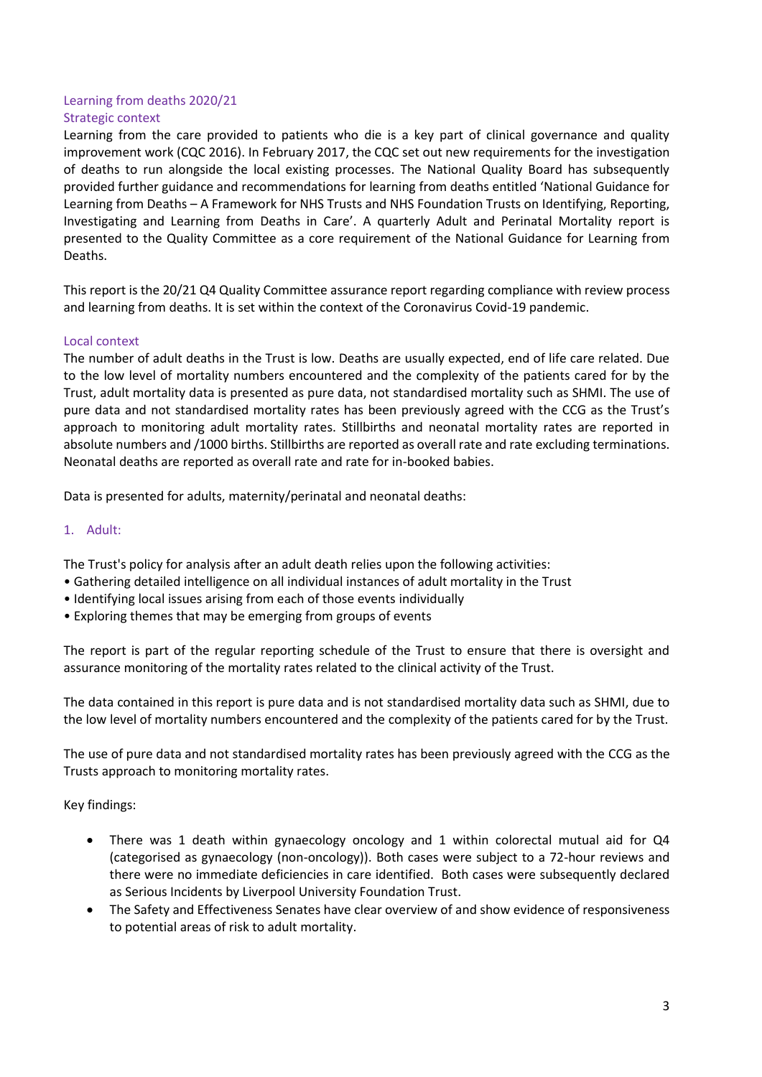# Learning from deaths 2020/21 Strategic context

Learning from the care provided to patients who die is a key part of clinical governance and quality improvement work (CQC 2016). In February 2017, the CQC set out new requirements for the investigation of deaths to run alongside the local existing processes. The National Quality Board has subsequently provided further guidance and recommendations for learning from deaths entitled 'National Guidance for Learning from Deaths – A Framework for NHS Trusts and NHS Foundation Trusts on Identifying, Reporting, Investigating and Learning from Deaths in Care'. A quarterly Adult and Perinatal Mortality report is presented to the Quality Committee as a core requirement of the National Guidance for Learning from Deaths.

This report is the 20/21 Q4 Quality Committee assurance report regarding compliance with review process and learning from deaths. It is set within the context of the Coronavirus Covid-19 pandemic.

# Local context

The number of adult deaths in the Trust is low. Deaths are usually expected, end of life care related. Due to the low level of mortality numbers encountered and the complexity of the patients cared for by the Trust, adult mortality data is presented as pure data, not standardised mortality such as SHMI. The use of pure data and not standardised mortality rates has been previously agreed with the CCG as the Trust's approach to monitoring adult mortality rates. Stillbirths and neonatal mortality rates are reported in absolute numbers and /1000 births. Stillbirths are reported as overall rate and rate excluding terminations. Neonatal deaths are reported as overall rate and rate for in-booked babies.

Data is presented for adults, maternity/perinatal and neonatal deaths:

# 1. Adult:

The Trust's policy for analysis after an adult death relies upon the following activities:

- Gathering detailed intelligence on all individual instances of adult mortality in the Trust
- Identifying local issues arising from each of those events individually
- Exploring themes that may be emerging from groups of events

The report is part of the regular reporting schedule of the Trust to ensure that there is oversight and assurance monitoring of the mortality rates related to the clinical activity of the Trust.

The data contained in this report is pure data and is not standardised mortality data such as SHMI, due to the low level of mortality numbers encountered and the complexity of the patients cared for by the Trust.

The use of pure data and not standardised mortality rates has been previously agreed with the CCG as the Trusts approach to monitoring mortality rates.

Key findings:

- There was 1 death within gynaecology oncology and 1 within colorectal mutual aid for Q4 (categorised as gynaecology (non-oncology)). Both cases were subject to a 72-hour reviews and there were no immediate deficiencies in care identified. Both cases were subsequently declared as Serious Incidents by Liverpool University Foundation Trust.
- The Safety and Effectiveness Senates have clear overview of and show evidence of responsiveness to potential areas of risk to adult mortality.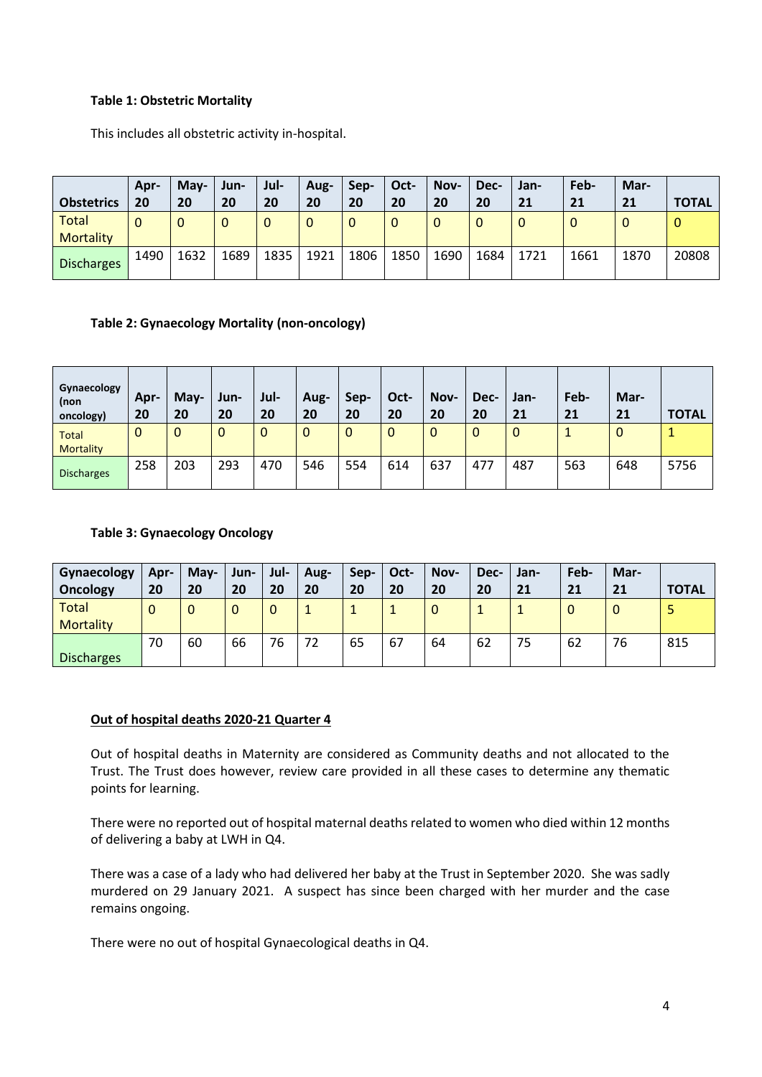# **Table 1: Obstetric Mortality**

This includes all obstetric activity in-hospital.

| <b>Obstetrics</b>                | Apr-<br>20 | May-<br>20  | Jun-<br>20 | Jul-<br>20  | Aug-<br>20 | Sep-<br>20 | Oct-<br>20 | Nov-<br>20 | Dec-<br>20 | Jan-<br>21  | Feb-<br>21 | Mar-<br>21 | <b>TOTAL</b> |
|----------------------------------|------------|-------------|------------|-------------|------------|------------|------------|------------|------------|-------------|------------|------------|--------------|
| <b>Total</b><br><b>Mortality</b> |            | $\mathbf 0$ |            | $\mathbf 0$ |            | $\Omega$   | 0          |            |            | $\mathbf 0$ | 0          | υ          | 0            |
| <b>Discharges</b>                | 1490       | 1632        | 1689       | 1835        | 1921       | 1806       | 1850       | 1690       | 1684       | 1721        | 1661       | 1870       | 20808        |

# **Table 2: Gynaecology Mortality (non-oncology)**

| Gynaecology<br>(non<br>oncology) | Apr-<br>20 | May-<br>20 | Jun-<br>20 | Jul-<br>20  | Aug-<br>20 | Sep-<br>20  | Oct-<br>20 | Nov-<br>20 | Dec-<br>20 | Jan-<br>21  | Feb-<br>21 | Mar-<br>21 | <b>TOTAL</b> |
|----------------------------------|------------|------------|------------|-------------|------------|-------------|------------|------------|------------|-------------|------------|------------|--------------|
| <b>Total</b><br><b>Mortality</b> | 0          | $\Omega$   | 0          | $\mathbf 0$ | $\Omega$   | $\mathbf 0$ | 0          | 0          | 0          | $\mathbf 0$ |            | 0          |              |
| <b>Discharges</b>                | 258        | 203        | 293        | 470         | 546        | 554         | 614        | 637        | 477        | 487         | 563        | 648        | 5756         |

# **Table 3: Gynaecology Oncology**

| Gynaecology<br><b>Oncology</b> | Apr-<br>20 | May-<br>20 | Jun-<br>20 | Jul-<br>20 | Aug-<br>20 | Sep-<br>20 | Oct-<br>20 | Nov-<br>20 | Dec-<br>20 | Jan-<br>21 | Feb-<br>21 | Mar-<br>21  | <b>TOTAL</b> |
|--------------------------------|------------|------------|------------|------------|------------|------------|------------|------------|------------|------------|------------|-------------|--------------|
| Total<br><b>Mortality</b>      | 0          | $\Omega$   | 0          | 0          |            |            | л.         | 0          |            |            | 0          | $\mathbf 0$ |              |
| <b>Discharges</b>              | 70         | 60         | 66         | 76         | 72         | 65         | 67         | 64         | 62         | 75         | 62         | 76          | 815          |

# **Out of hospital deaths 2020-21 Quarter 4**

Out of hospital deaths in Maternity are considered as Community deaths and not allocated to the Trust. The Trust does however, review care provided in all these cases to determine any thematic points for learning.

There were no reported out of hospital maternal deaths related to women who died within 12 months of delivering a baby at LWH in Q4.

There was a case of a lady who had delivered her baby at the Trust in September 2020. She was sadly murdered on 29 January 2021. A suspect has since been charged with her murder and the case remains ongoing.

There were no out of hospital Gynaecological deaths in Q4.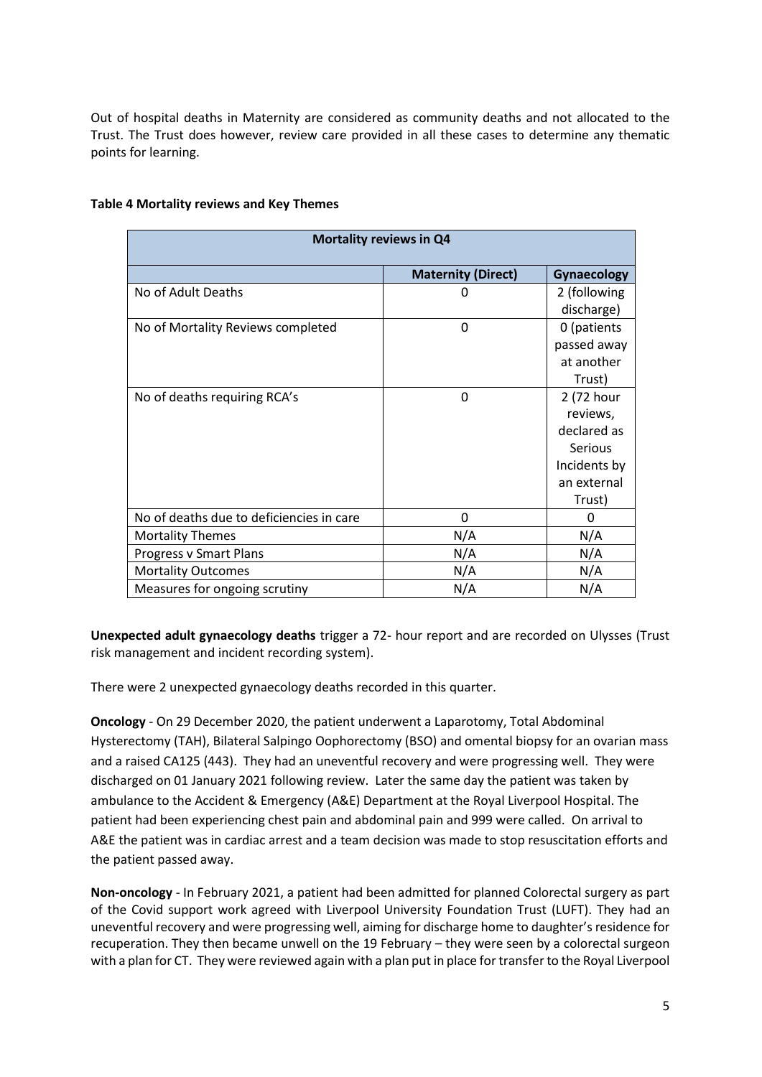Out of hospital deaths in Maternity are considered as community deaths and not allocated to the Trust. The Trust does however, review care provided in all these cases to determine any thematic points for learning.

| Mortality reviews in Q4                  |                           |                    |  |  |  |  |  |  |
|------------------------------------------|---------------------------|--------------------|--|--|--|--|--|--|
|                                          | <b>Maternity (Direct)</b> | <b>Gynaecology</b> |  |  |  |  |  |  |
| No of Adult Deaths                       | 0                         | 2 (following       |  |  |  |  |  |  |
|                                          |                           | discharge)         |  |  |  |  |  |  |
| No of Mortality Reviews completed        | $\mathbf 0$               | 0 (patients        |  |  |  |  |  |  |
|                                          |                           | passed away        |  |  |  |  |  |  |
|                                          |                           | at another         |  |  |  |  |  |  |
|                                          |                           | Trust)             |  |  |  |  |  |  |
| No of deaths requiring RCA's             | 0                         | 2 (72 hour         |  |  |  |  |  |  |
|                                          |                           | reviews,           |  |  |  |  |  |  |
|                                          |                           | declared as        |  |  |  |  |  |  |
|                                          |                           | <b>Serious</b>     |  |  |  |  |  |  |
|                                          |                           | Incidents by       |  |  |  |  |  |  |
|                                          |                           | an external        |  |  |  |  |  |  |
|                                          |                           | Trust)             |  |  |  |  |  |  |
| No of deaths due to deficiencies in care | 0                         | 0                  |  |  |  |  |  |  |
| <b>Mortality Themes</b>                  | N/A                       | N/A                |  |  |  |  |  |  |
| Progress v Smart Plans                   | N/A                       | N/A                |  |  |  |  |  |  |
| <b>Mortality Outcomes</b>                | N/A                       | N/A                |  |  |  |  |  |  |
| Measures for ongoing scrutiny            | N/A                       | N/A                |  |  |  |  |  |  |

# **Table 4 Mortality reviews and Key Themes**

**Unexpected adult gynaecology deaths** trigger a 72- hour report and are recorded on Ulysses (Trust risk management and incident recording system).

There were 2 unexpected gynaecology deaths recorded in this quarter.

**Oncology** - On 29 December 2020, the patient underwent a Laparotomy, Total Abdominal Hysterectomy (TAH), Bilateral Salpingo Oophorectomy (BSO) and omental biopsy for an ovarian mass and a raised CA125 (443). They had an uneventful recovery and were progressing well. They were discharged on 01 January 2021 following review. Later the same day the patient was taken by ambulance to the Accident & Emergency (A&E) Department at the Royal Liverpool Hospital. The patient had been experiencing chest pain and abdominal pain and 999 were called. On arrival to A&E the patient was in cardiac arrest and a team decision was made to stop resuscitation efforts and the patient passed away.

**Non-oncology** - In February 2021, a patient had been admitted for planned Colorectal surgery as part of the Covid support work agreed with Liverpool University Foundation Trust (LUFT). They had an uneventful recovery and were progressing well, aiming for discharge home to daughter's residence for recuperation. They then became unwell on the 19 February – they were seen by a colorectal surgeon with a plan for CT. They were reviewed again with a plan put in place for transfer to the Royal Liverpool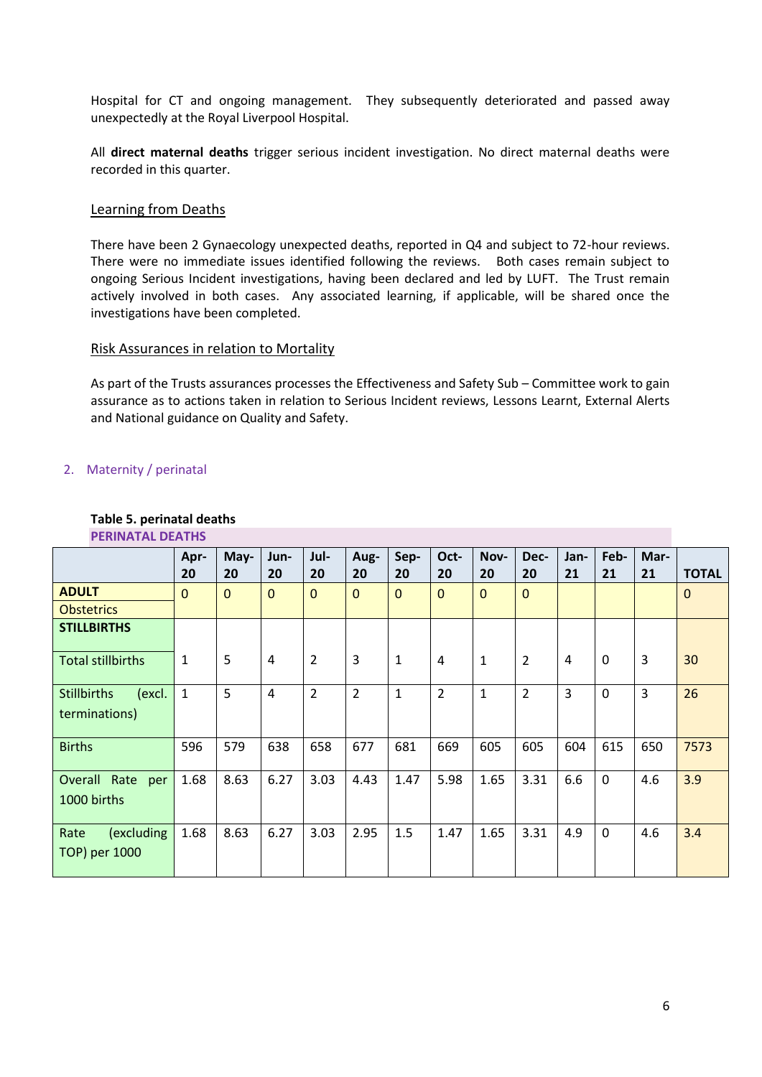Hospital for CT and ongoing management. They subsequently deteriorated and passed away unexpectedly at the Royal Liverpool Hospital.

All **direct maternal deaths** trigger serious incident investigation. No direct maternal deaths were recorded in this quarter.

# Learning from Deaths

There have been 2 Gynaecology unexpected deaths, reported in Q4 and subject to 72-hour reviews. There were no immediate issues identified following the reviews. Both cases remain subject to ongoing Serious Incident investigations, having been declared and led by LUFT. The Trust remain actively involved in both cases. Any associated learning, if applicable, will be shared once the investigations have been completed.

## Risk Assurances in relation to Mortality

As part of the Trusts assurances processes the Effectiveness and Safety Sub – Committee work to gain assurance as to actions taken in relation to Serious Incident reviews, Lessons Learnt, External Alerts and National guidance on Quality and Safety.

# 2. Maternity / perinatal

# **Table 5. perinatal deaths**

|                                               | Apr-<br>20   | May-<br>20  | Jun-<br>20   | Jul-<br>20     | Aug-<br>20     | Sep-<br>20   | Oct-<br>20   | Nov-<br>20   | Dec-<br>20     | Jan-<br>21 | Feb-<br>21 | Mar-<br>21 | <b>TOTAL</b> |
|-----------------------------------------------|--------------|-------------|--------------|----------------|----------------|--------------|--------------|--------------|----------------|------------|------------|------------|--------------|
| <b>ADULT</b>                                  | $\mathbf{0}$ | $\mathbf 0$ | $\mathbf{0}$ | $\Omega$       | $\mathbf{0}$   | $\mathbf{0}$ | $\mathbf{0}$ | $\mathbf{0}$ | $\mathbf 0$    |            |            |            | $\mathbf 0$  |
| <b>Obstetrics</b>                             |              |             |              |                |                |              |              |              |                |            |            |            |              |
| <b>STILLBIRTHS</b>                            |              |             |              |                |                |              |              |              |                |            |            |            |              |
| <b>Total stillbirths</b>                      | 1            | 5           | 4            | $\overline{2}$ | 3              | 1            | 4            | $\mathbf{1}$ | $\overline{2}$ | 4          | $\Omega$   | 3          | 30           |
| (excl.<br><b>Stillbirths</b><br>terminations) | 1            | 5           | 4            | $\overline{2}$ | $\overline{2}$ | 1            | 2            | $\mathbf{1}$ | $\overline{2}$ | 3          | 0          | 3          | 26           |
| <b>Births</b>                                 | 596          | 579         | 638          | 658            | 677            | 681          | 669          | 605          | 605            | 604        | 615        | 650        | 7573         |
| Overall Rate per<br>1000 births               | 1.68         | 8.63        | 6.27         | 3.03           | 4.43           | 1.47         | 5.98         | 1.65         | 3.31           | 6.6        | $\Omega$   | 4.6        | 3.9          |
| (excluding<br>Rate<br>TOP) per 1000           | 1.68         | 8.63        | 6.27         | 3.03           | 2.95           | 1.5          | 1.47         | 1.65         | 3.31           | 4.9        | $\Omega$   | 4.6        | 3.4          |

# **PERINATAL DEATHS**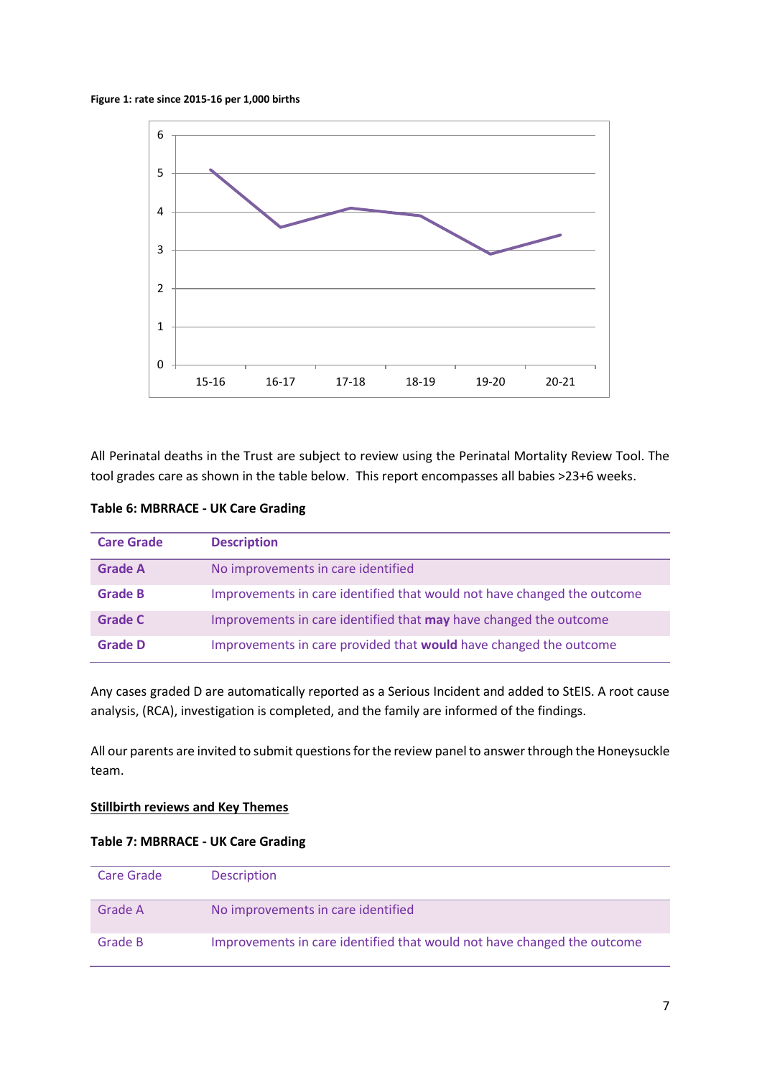#### **Figure 1: rate since 2015-16 per 1,000 births**



All Perinatal deaths in the Trust are subject to review using the Perinatal Mortality Review Tool. The tool grades care as shown in the table below. This report encompasses all babies >23+6 weeks.

# **Table 6: MBRRACE - UK Care Grading**

| <b>Care Grade</b> | <b>Description</b>                                                       |
|-------------------|--------------------------------------------------------------------------|
| <b>Grade A</b>    | No improvements in care identified                                       |
| <b>Grade B</b>    | Improvements in care identified that would not have changed the outcome  |
| <b>Grade C</b>    | Improvements in care identified that <b>may</b> have changed the outcome |
| <b>Grade D</b>    | Improvements in care provided that would have changed the outcome        |

Any cases graded D are automatically reported as a Serious Incident and added to StEIS. A root cause analysis, (RCA), investigation is completed, and the family are informed of the findings.

All our parents are invited to submit questions for the review panel to answer through the Honeysuckle team.

## **Stillbirth reviews and Key Themes**

## **Table 7: MBRRACE - UK Care Grading**

| Care Grade | <b>Description</b>                                                      |
|------------|-------------------------------------------------------------------------|
| Grade A    | No improvements in care identified                                      |
| Grade B    | Improvements in care identified that would not have changed the outcome |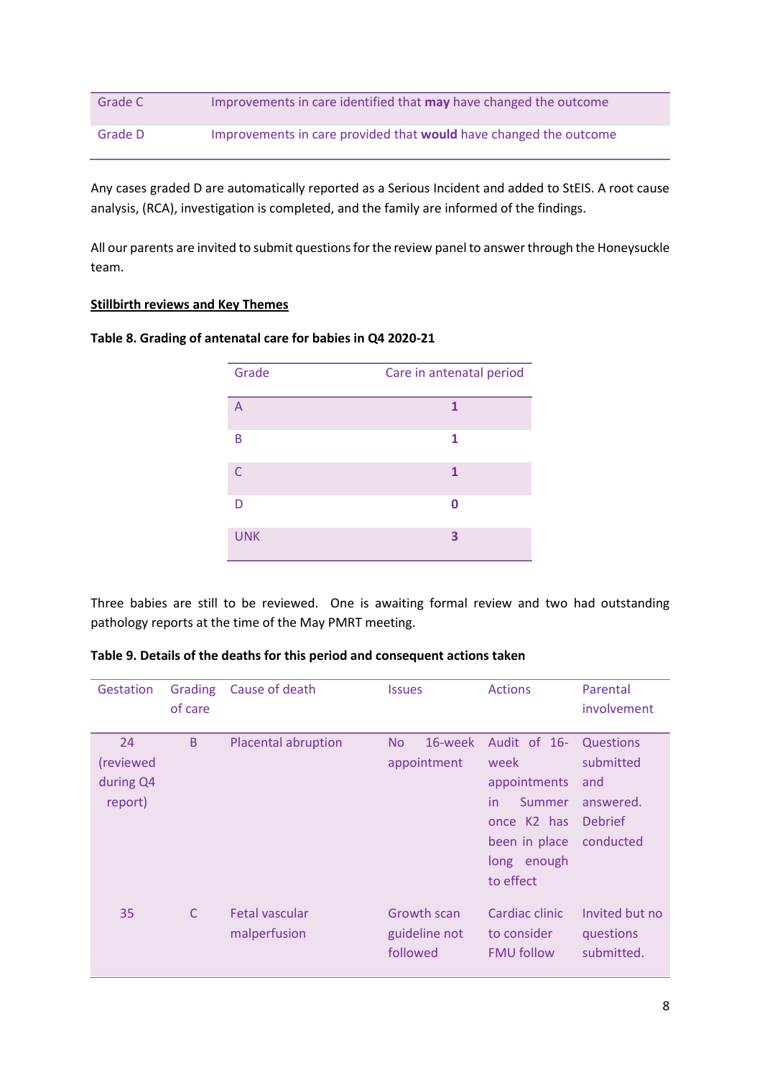| Grade C | Improvements in care identified that <b>may</b> have changed the outcome |
|---------|--------------------------------------------------------------------------|
| Grade D | Improvements in care provided that <b>would</b> have changed the outcome |

Any cases graded D are automatically reported as a Serious Incident and added to StEIS. A root cause analysis, (RCA), investigation is completed, and the family are informed of the findings.

All our parents are invited to submit questions for the review panel to answer through the Honeysuckle team.

# **Stillbirth reviews and Key Themes**

## **Table 8. Grading of antenatal care for babies in Q4 2020-21**

| Grade          | Care in antenatal period |
|----------------|--------------------------|
| $\overline{A}$ | 1                        |
| B              | 1                        |
| $\mathsf{C}$   | 1                        |
| D              | O                        |
| <b>UNK</b>     | 3                        |

Three babies are still to be reviewed. One is awaiting formal review and two had outstanding pathology reports at the time of the May PMRT meeting.

# **Table 9. Details of the deaths for this period and consequent actions taken**

| Gestation                               | Grading<br>of care | Cause of death                 | <b>Issues</b>                            | <b>Actions</b>                                                                                                               | Parental<br>involvement                                                          |
|-----------------------------------------|--------------------|--------------------------------|------------------------------------------|------------------------------------------------------------------------------------------------------------------------------|----------------------------------------------------------------------------------|
| 24<br>(reviewed<br>during Q4<br>report) | B                  | <b>Placental abruption</b>     | 16-week<br><b>No</b><br>appointment      | Audit of 16-<br>week<br>appointments<br>in<br>Summer<br>once K <sub>2</sub> has<br>been in place<br>long enough<br>to effect | <b>Questions</b><br>submitted<br>and<br>answered.<br><b>Debrief</b><br>conducted |
| 35                                      | $\mathsf{C}$       | Fetal vascular<br>malperfusion | Growth scan<br>guideline not<br>followed | Cardiac clinic<br>to consider<br><b>FMU follow</b>                                                                           | Invited but no<br>questions<br>submitted.                                        |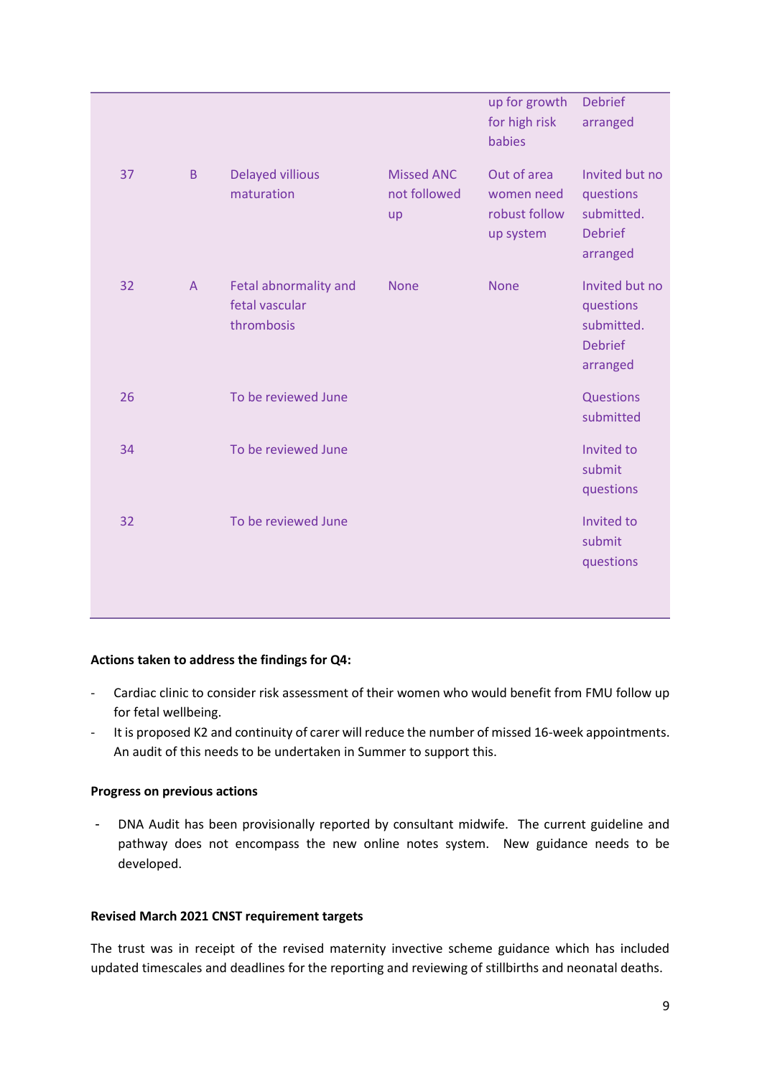|    |                |                                                       |                                         | up for growth<br>for high risk<br>babies                | <b>Debrief</b><br>arranged                                              |
|----|----------------|-------------------------------------------------------|-----------------------------------------|---------------------------------------------------------|-------------------------------------------------------------------------|
| 37 | B              | <b>Delayed villious</b><br>maturation                 | <b>Missed ANC</b><br>not followed<br>up | Out of area<br>women need<br>robust follow<br>up system | Invited but no<br>questions<br>submitted.<br><b>Debrief</b><br>arranged |
| 32 | $\overline{A}$ | Fetal abnormality and<br>fetal vascular<br>thrombosis | <b>None</b>                             | <b>None</b>                                             | Invited but no<br>questions<br>submitted.<br><b>Debrief</b><br>arranged |
| 26 |                | To be reviewed June                                   |                                         |                                                         | Questions<br>submitted                                                  |
| 34 |                | To be reviewed June                                   |                                         |                                                         | Invited to<br>submit<br>questions                                       |
| 32 |                | To be reviewed June                                   |                                         |                                                         | Invited to<br>submit<br>questions                                       |

# **Actions taken to address the findings for Q4:**

- Cardiac clinic to consider risk assessment of their women who would benefit from FMU follow up for fetal wellbeing.
- It is proposed K2 and continuity of carer will reduce the number of missed 16-week appointments. An audit of this needs to be undertaken in Summer to support this.

## **Progress on previous actions**

- DNA Audit has been provisionally reported by consultant midwife. The current guideline and pathway does not encompass the new online notes system. New guidance needs to be developed.

# **Revised March 2021 CNST requirement targets**

The trust was in receipt of the revised maternity invective scheme guidance which has included updated timescales and deadlines for the reporting and reviewing of stillbirths and neonatal deaths.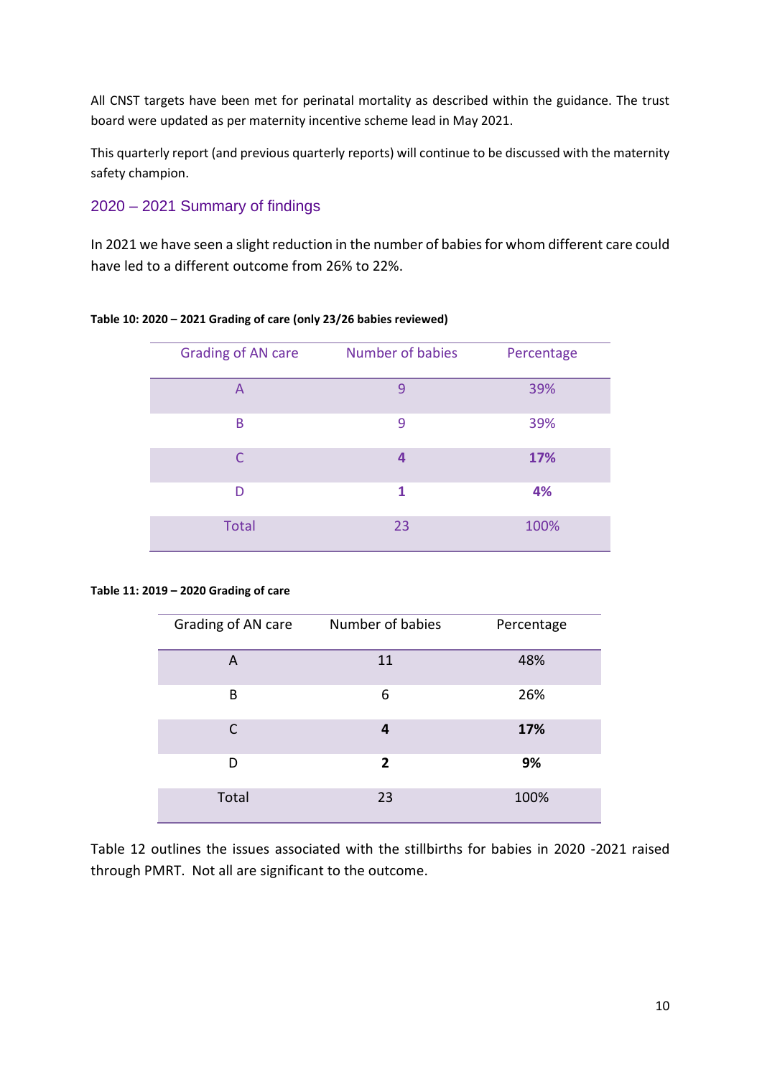All CNST targets have been met for perinatal mortality as described within the guidance. The trust board were updated as per maternity incentive scheme lead in May 2021.

This quarterly report (and previous quarterly reports) will continue to be discussed with the maternity safety champion.

# 2020 – 2021 Summary of findings

In 2021 we have seen a slight reduction in the number of babies for whom different care could have led to a different outcome from 26% to 22%.

| <b>Grading of AN care</b> | Number of babies | Percentage |
|---------------------------|------------------|------------|
| $\overline{A}$            | $\mathsf{q}$     | 39%        |
| B                         | 9                | 39%        |
|                           | 4                | 17%        |
| D                         | 1                | 4%         |
| <b>Total</b>              | 23               | 100%       |

# **Table 10: 2020 – 2021 Grading of care (only 23/26 babies reviewed)**

#### **Table 11: 2019 – 2020 Grading of care**

| Grading of AN care | Number of babies | Percentage |
|--------------------|------------------|------------|
| A                  | 11               | 48%        |
| B                  | 6                | 26%        |
| C                  | 4                | 17%        |
| D                  | 2                | 9%         |
| Total              | 23               | 100%       |

Table 12 outlines the issues associated with the stillbirths for babies in 2020 -2021 raised through PMRT. Not all are significant to the outcome.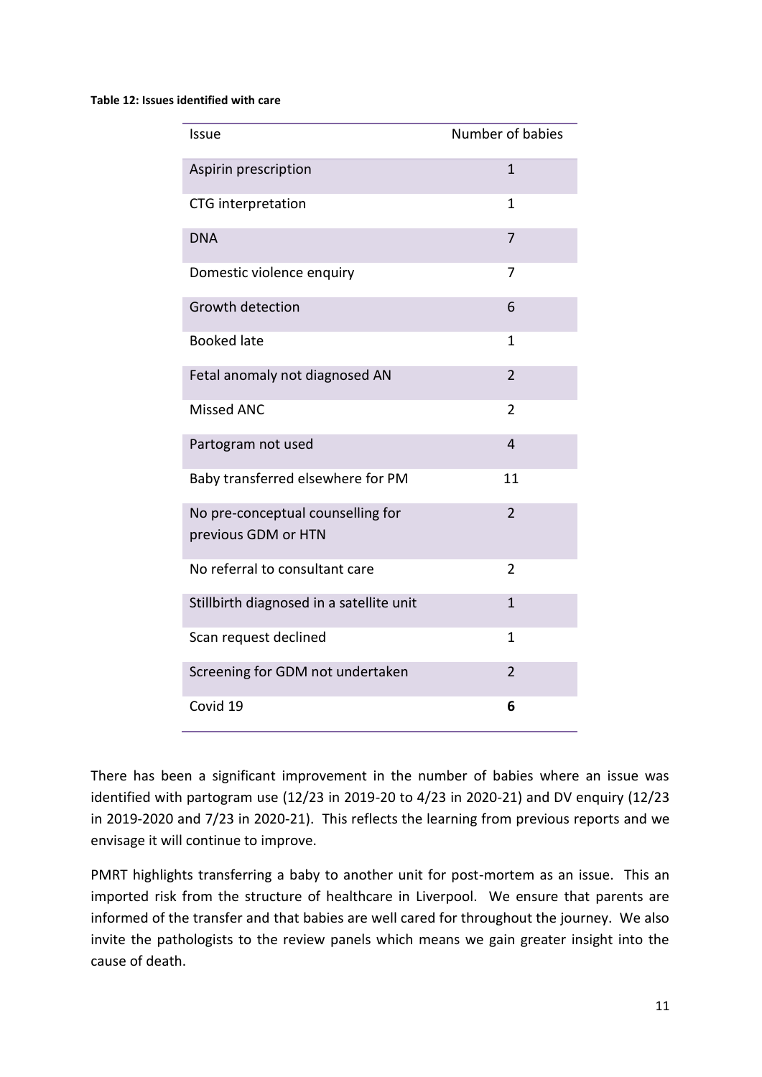### **Table 12: Issues identified with care**

| <b>Issue</b>                                             | Number of babies |
|----------------------------------------------------------|------------------|
| Aspirin prescription                                     | $\mathbf{1}$     |
| CTG interpretation                                       | 1                |
| <b>DNA</b>                                               | 7                |
| Domestic violence enquiry                                | 7                |
| Growth detection                                         | 6                |
| <b>Booked late</b>                                       | 1                |
| Fetal anomaly not diagnosed AN                           | $\overline{2}$   |
| <b>Missed ANC</b>                                        | $\overline{2}$   |
| Partogram not used                                       | $\overline{4}$   |
| Baby transferred elsewhere for PM                        | 11               |
| No pre-conceptual counselling for<br>previous GDM or HTN | $\overline{2}$   |
| No referral to consultant care                           | 2                |
| Stillbirth diagnosed in a satellite unit                 | $\mathbf{1}$     |
| Scan request declined                                    | $\mathbf{1}$     |
| Screening for GDM not undertaken                         | $\overline{2}$   |
| Covid 19                                                 | 6                |

There has been a significant improvement in the number of babies where an issue was identified with partogram use (12/23 in 2019-20 to 4/23 in 2020-21) and DV enquiry (12/23 in 2019-2020 and 7/23 in 2020-21). This reflects the learning from previous reports and we envisage it will continue to improve.

PMRT highlights transferring a baby to another unit for post-mortem as an issue. This an imported risk from the structure of healthcare in Liverpool. We ensure that parents are informed of the transfer and that babies are well cared for throughout the journey. We also invite the pathologists to the review panels which means we gain greater insight into the cause of death.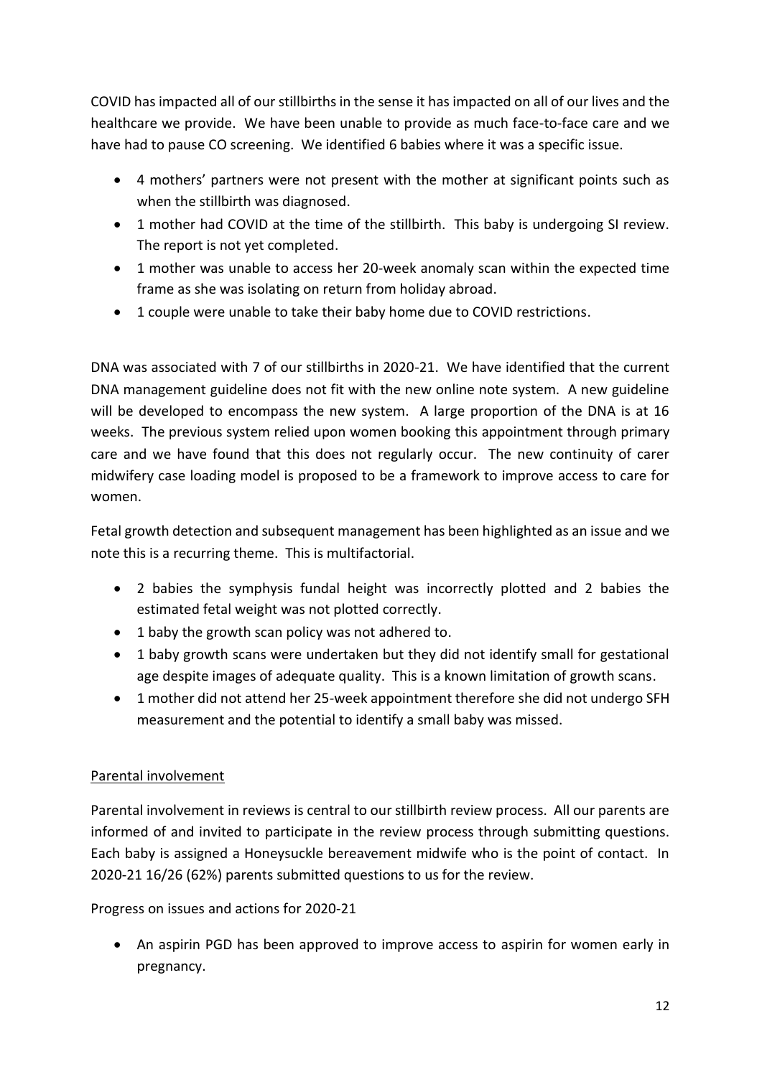COVID has impacted all of our stillbirths in the sense it has impacted on all of our lives and the healthcare we provide. We have been unable to provide as much face-to-face care and we have had to pause CO screening. We identified 6 babies where it was a specific issue.

- 4 mothers' partners were not present with the mother at significant points such as when the stillbirth was diagnosed.
- 1 mother had COVID at the time of the stillbirth. This baby is undergoing SI review. The report is not yet completed.
- 1 mother was unable to access her 20-week anomaly scan within the expected time frame as she was isolating on return from holiday abroad.
- 1 couple were unable to take their baby home due to COVID restrictions.

DNA was associated with 7 of our stillbirths in 2020-21. We have identified that the current DNA management guideline does not fit with the new online note system. A new guideline will be developed to encompass the new system. A large proportion of the DNA is at 16 weeks. The previous system relied upon women booking this appointment through primary care and we have found that this does not regularly occur. The new continuity of carer midwifery case loading model is proposed to be a framework to improve access to care for women.

Fetal growth detection and subsequent management has been highlighted as an issue and we note this is a recurring theme. This is multifactorial.

- 2 babies the symphysis fundal height was incorrectly plotted and 2 babies the estimated fetal weight was not plotted correctly.
- 1 baby the growth scan policy was not adhered to.
- 1 baby growth scans were undertaken but they did not identify small for gestational age despite images of adequate quality. This is a known limitation of growth scans.
- 1 mother did not attend her 25-week appointment therefore she did not undergo SFH measurement and the potential to identify a small baby was missed.

# Parental involvement

Parental involvement in reviews is central to our stillbirth review process. All our parents are informed of and invited to participate in the review process through submitting questions. Each baby is assigned a Honeysuckle bereavement midwife who is the point of contact. In 2020-21 16/26 (62%) parents submitted questions to us for the review.

Progress on issues and actions for 2020-21

• An aspirin PGD has been approved to improve access to aspirin for women early in pregnancy.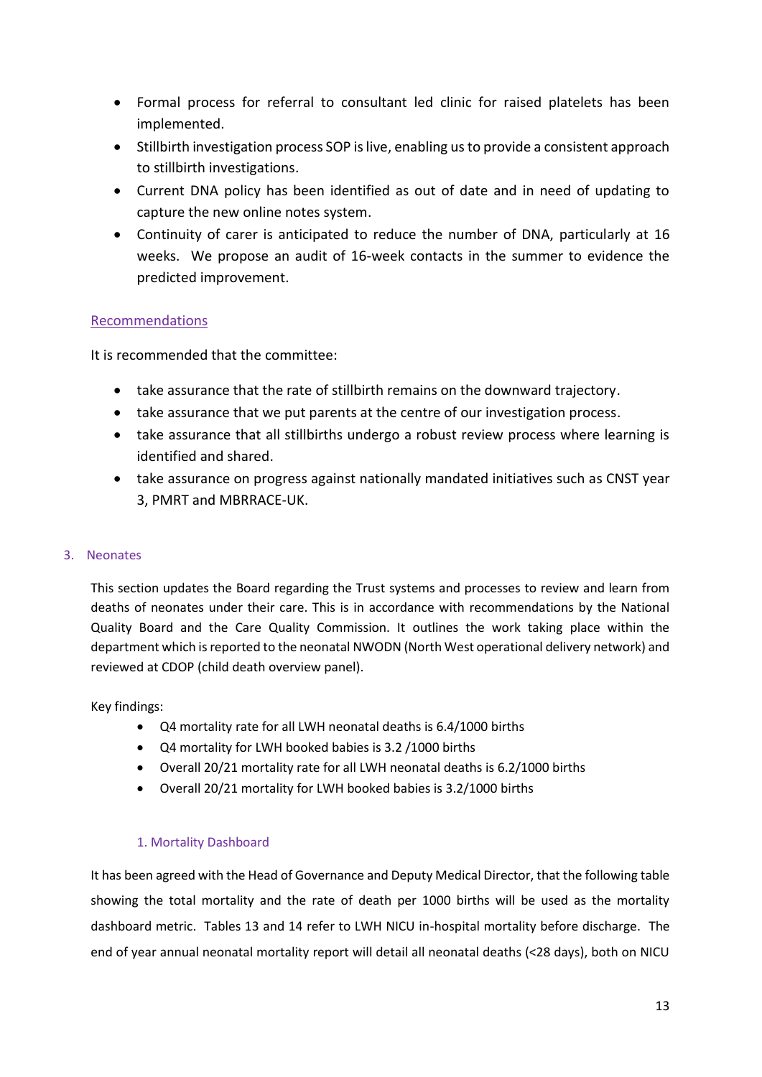- Formal process for referral to consultant led clinic for raised platelets has been implemented.
- Stillbirth investigation process SOP is live, enabling us to provide a consistent approach to stillbirth investigations.
- Current DNA policy has been identified as out of date and in need of updating to capture the new online notes system.
- Continuity of carer is anticipated to reduce the number of DNA, particularly at 16 weeks. We propose an audit of 16-week contacts in the summer to evidence the predicted improvement.

# Recommendations

It is recommended that the committee:

- take assurance that the rate of stillbirth remains on the downward trajectory.
- take assurance that we put parents at the centre of our investigation process.
- take assurance that all stillbirths undergo a robust review process where learning is identified and shared.
- take assurance on progress against nationally mandated initiatives such as CNST year 3, PMRT and MBRRACE-UK.

# 3. Neonates

This section updates the Board regarding the Trust systems and processes to review and learn from deaths of neonates under their care. This is in accordance with recommendations by the National Quality Board and the Care Quality Commission. It outlines the work taking place within the department which is reported to the neonatal NWODN (North West operational delivery network) and reviewed at CDOP (child death overview panel).

Key findings:

- Q4 mortality rate for all LWH neonatal deaths is 6.4/1000 births
- Q4 mortality for LWH booked babies is 3.2 /1000 births
- Overall 20/21 mortality rate for all LWH neonatal deaths is 6.2/1000 births
- Overall 20/21 mortality for LWH booked babies is 3.2/1000 births

# 1. Mortality Dashboard

It has been agreed with the Head of Governance and Deputy Medical Director, that the following table showing the total mortality and the rate of death per 1000 births will be used as the mortality dashboard metric. Tables 13 and 14 refer to LWH NICU in-hospital mortality before discharge. The end of year annual neonatal mortality report will detail all neonatal deaths (<28 days), both on NICU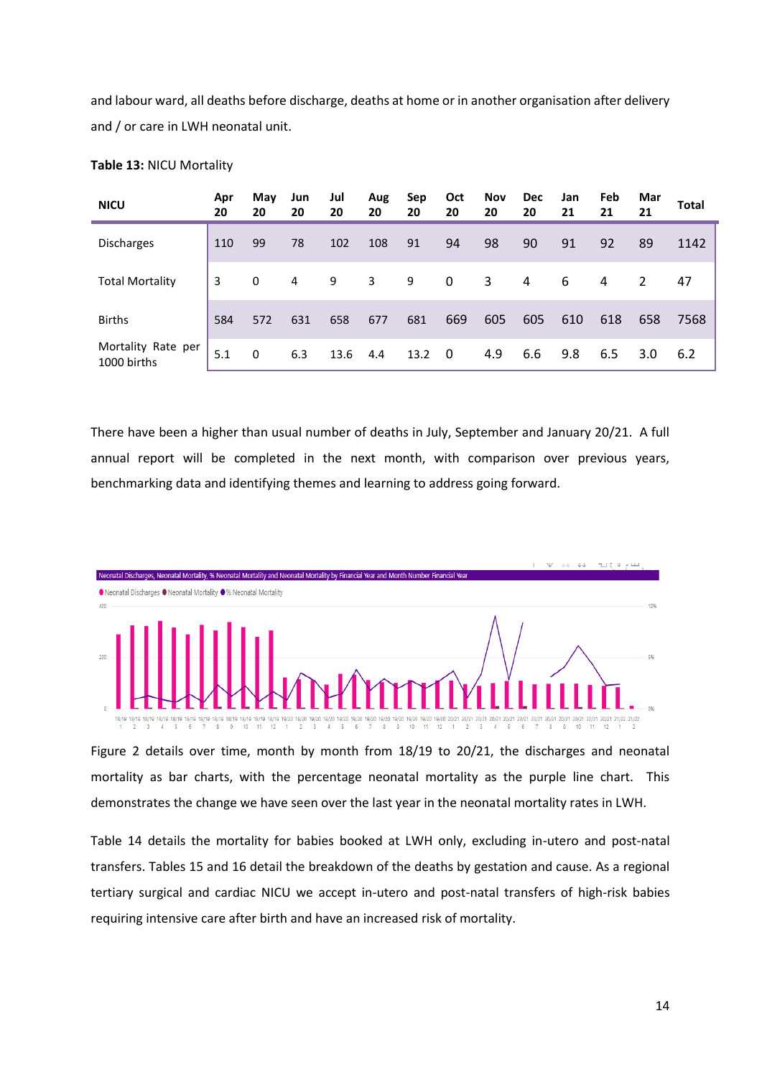and labour ward, all deaths before discharge, deaths at home or in another organisation after delivery and / or care in LWH neonatal unit.

| <b>NICU</b>                       | Apr<br>20 | May<br>20 | Jun<br>20 | Jul<br>20 | Aug<br>20 | Sep<br>20 | Oct<br>20 | Nov<br>20 | <b>Dec</b><br>20 | Jan<br>21 | Feb<br>21 | Mar<br>21 | Total |
|-----------------------------------|-----------|-----------|-----------|-----------|-----------|-----------|-----------|-----------|------------------|-----------|-----------|-----------|-------|
| <b>Discharges</b>                 | 110       | 99        | 78        | 102       | 108       | 91        | 94        | 98        | 90               | 91        | 92        | 89        | 1142  |
| <b>Total Mortality</b>            | 3         | 0         | 4         | 9         | 3         | 9         | 0         | 3         | 4                | 6         | 4         | 2         | 47    |
| <b>Births</b>                     | 584       | 572       | 631       | 658       | 677       | 681       | 669       | 605       | 605              | 610       | 618       | 658       | 7568  |
| Mortality Rate per<br>1000 births | 5.1       | 0         | 6.3       | 13.6      | 4.4       | 13.2      | $\Omega$  | 4.9       | 6.6              | 9.8       | 6.5       | 3.0       | 6.2   |

### **Table 13:** NICU Mortality

There have been a higher than usual number of deaths in July, September and January 20/21. A full annual report will be completed in the next month, with comparison over previous years, benchmarking data and identifying themes and learning to address going forward.



Figure 2 details over time, month by month from 18/19 to 20/21, the discharges and neonatal mortality as bar charts, with the percentage neonatal mortality as the purple line chart. This demonstrates the change we have seen over the last year in the neonatal mortality rates in LWH.

Table 14 details the mortality for babies booked at LWH only, excluding in-utero and post-natal transfers. Tables 15 and 16 detail the breakdown of the deaths by gestation and cause. As a regional tertiary surgical and cardiac NICU we accept in-utero and post-natal transfers of high-risk babies requiring intensive care after birth and have an increased risk of mortality.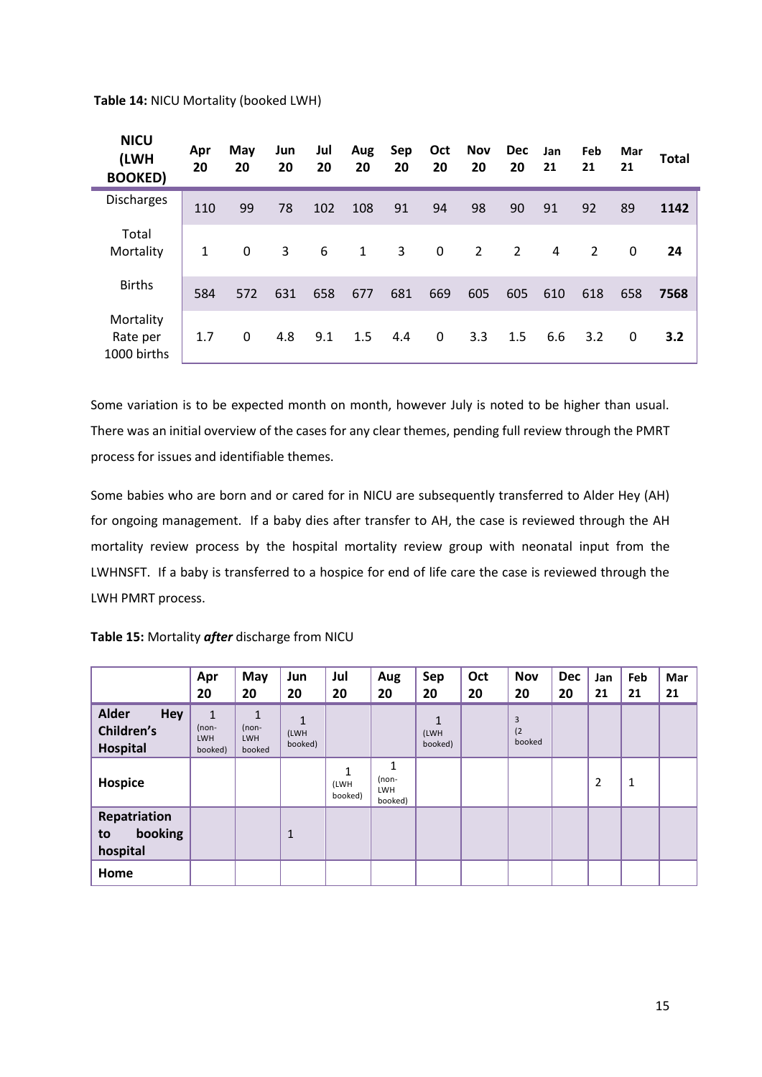**Table 14:** NICU Mortality (booked LWH)

| <b>NICU</b><br>(LWH<br><b>BOOKED)</b> | Apr<br>20    | May<br>20    | Jun<br>20 | Jul<br>20 | Aug<br>20 | Sep<br>20 | Oct<br>20 | Nov<br>20      | <b>Dec</b><br>20 | Jan<br>21 | Feb<br>21 | Mar<br>21 | <b>Total</b> |
|---------------------------------------|--------------|--------------|-----------|-----------|-----------|-----------|-----------|----------------|------------------|-----------|-----------|-----------|--------------|
| Discharges                            | 110          | 99           | 78        | 102       | 108       | 91        | 94        | 98             | 90               | 91        | 92        | 89        | 1142         |
| Total<br>Mortality                    | $\mathbf{1}$ | 0            | 3         | 6         | 1         | 3         | 0         | $\overline{2}$ | 2                | 4         | 2         | 0         | 24           |
| <b>Births</b>                         | 584          | 572          | 631       | 658       | 677       | 681       | 669       | 605            | 605              | 610       | 618       | 658       | 7568         |
| Mortality<br>Rate per<br>1000 births  | 1.7          | $\mathbf{0}$ | 4.8       | 9.1       | 1.5       | 4.4       | 0         | 3.3            | 1.5              | 6.6       | 3.2       | 0         | 3.2          |

Some variation is to be expected month on month, however July is noted to be higher than usual. There was an initial overview of the cases for any clear themes, pending full review through the PMRT process for issues and identifiable themes.

Some babies who are born and or cared for in NICU are subsequently transferred to Alder Hey (AH) for ongoing management. If a baby dies after transfer to AH, the case is reviewed through the AH mortality review process by the hospital mortality review group with neonatal input from the LWHNSFT. If a baby is transferred to a hospice for end of life care the case is reviewed through the LWH PMRT process.

| Table 15: Mortality after discharge from NICU |  |  |  |  |
|-----------------------------------------------|--|--|--|--|
|-----------------------------------------------|--|--|--|--|

|                                                      | Apr<br>20                                        | May<br>20                                       | Jun<br>20            | Jul<br>20            | Aug<br>20                           | Sep<br>20            | Oct<br>20 | <b>Nov</b><br>20   | <b>Dec</b><br>20 | Jan<br>21 | Feb<br>21 | Mar<br>21 |
|------------------------------------------------------|--------------------------------------------------|-------------------------------------------------|----------------------|----------------------|-------------------------------------|----------------------|-----------|--------------------|------------------|-----------|-----------|-----------|
| <b>Alder</b><br>Hey<br><b>Children's</b><br>Hospital | $\mathbf{1}$<br>$(non-$<br><b>LWH</b><br>booked) | $\mathbf{1}$<br>$(non-$<br><b>LWH</b><br>booked | 1<br>(LWH<br>booked) |                      |                                     | 1<br>(LWH<br>booked) |           | 3<br>(2)<br>booked |                  |           |           |           |
| Hospice                                              |                                                  |                                                 |                      | 1<br>(LWH<br>booked) | 1<br>(non-<br><b>LWH</b><br>booked) |                      |           |                    |                  | 2         | 1         |           |
| Repatriation<br>booking<br>to<br>hospital            |                                                  |                                                 | $\mathbf{1}$         |                      |                                     |                      |           |                    |                  |           |           |           |
| Home                                                 |                                                  |                                                 |                      |                      |                                     |                      |           |                    |                  |           |           |           |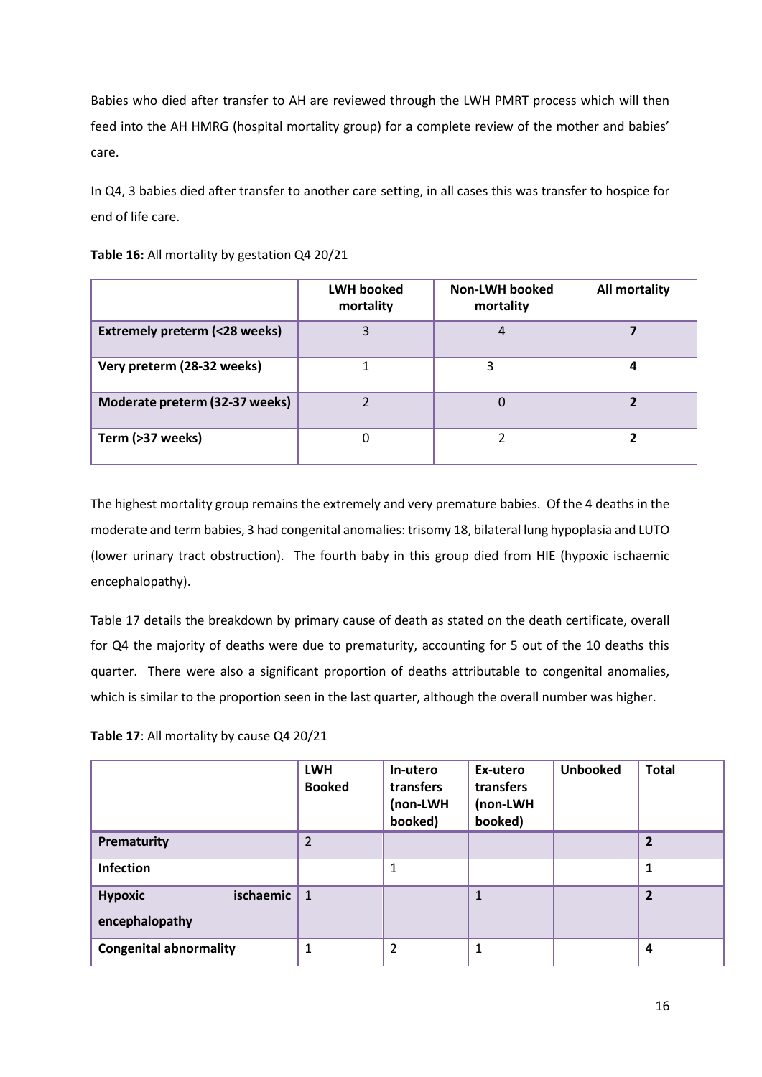Babies who died after transfer to AH are reviewed through the LWH PMRT process which will then feed into the AH HMRG (hospital mortality group) for a complete review of the mother and babies' care.

In Q4, 3 babies died after transfer to another care setting, in all cases this was transfer to hospice for end of life care.

|                                         | <b>LWH booked</b><br>mortality | <b>Non-LWH booked</b><br>mortality | <b>All mortality</b> |
|-----------------------------------------|--------------------------------|------------------------------------|----------------------|
| <b>Extremely preterm (&lt;28 weeks)</b> |                                | 4                                  |                      |
| Very preterm (28-32 weeks)              |                                |                                    |                      |
| Moderate preterm (32-37 weeks)          |                                |                                    |                      |
| Term (>37 weeks)                        |                                |                                    |                      |

**Table 16:** All mortality by gestation Q4 20/21

The highest mortality group remains the extremely and very premature babies. Of the 4 deaths in the moderate and term babies, 3 had congenital anomalies: trisomy 18, bilateral lung hypoplasia and LUTO (lower urinary tract obstruction). The fourth baby in this group died from HIE (hypoxic ischaemic encephalopathy).

Table 17 details the breakdown by primary cause of death as stated on the death certificate, overall for Q4 the majority of deaths were due to prematurity, accounting for 5 out of the 10 deaths this quarter. There were also a significant proportion of deaths attributable to congenital anomalies, which is similar to the proportion seen in the last quarter, although the overall number was higher.

**Table 17**: All mortality by cause Q4 20/21

|                                               | <b>LWH</b><br><b>Booked</b> | In-utero<br>transfers<br>(non-LWH<br>booked) | Ex-utero<br>transfers<br>(non-LWH<br>booked) | <b>Unbooked</b> | <b>Total</b>   |
|-----------------------------------------------|-----------------------------|----------------------------------------------|----------------------------------------------|-----------------|----------------|
| Prematurity                                   | $\overline{2}$              |                                              |                                              |                 | $\overline{2}$ |
| Infection                                     |                             |                                              |                                              |                 | 1              |
| ischaemic<br><b>Hypoxic</b><br>encephalopathy | $\mathbf{1}$                |                                              | $\mathbf{1}$                                 |                 | $\overline{2}$ |
| <b>Congenital abnormality</b>                 |                             | 2                                            | 1                                            |                 | 4              |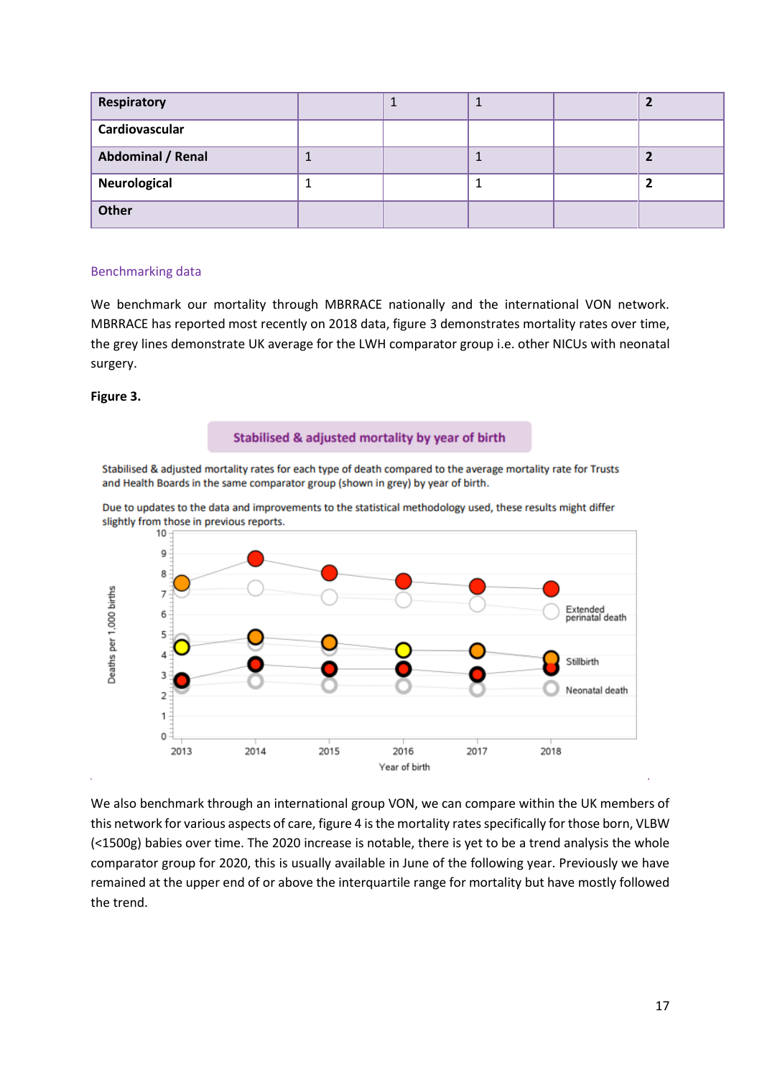| Respiratory       |  |  |  |
|-------------------|--|--|--|
| Cardiovascular    |  |  |  |
| Abdominal / Renal |  |  |  |
| Neurological      |  |  |  |
| Other             |  |  |  |

### Benchmarking data

We benchmark our mortality through MBRRACE nationally and the international VON network. MBRRACE has reported most recently on 2018 data, figure 3 demonstrates mortality rates over time, the grey lines demonstrate UK average for the LWH comparator group i.e. other NICUs with neonatal surgery.

## **Figure 3.**

### Stabilised & adjusted mortality by year of birth

Stabilised & adjusted mortality rates for each type of death compared to the average mortality rate for Trusts and Health Boards in the same comparator group (shown in grey) by year of birth.



Due to updates to the data and improvements to the statistical methodology used, these results might differ slightly from those in previous reports.

We also benchmark through an international group VON, we can compare within the UK members of this network for various aspects of care, figure 4 is the mortality rates specifically for those born, VLBW (<1500g) babies over time. The 2020 increase is notable, there is yet to be a trend analysis the whole comparator group for 2020, this is usually available in June of the following year. Previously we have remained at the upper end of or above the interquartile range for mortality but have mostly followed the trend.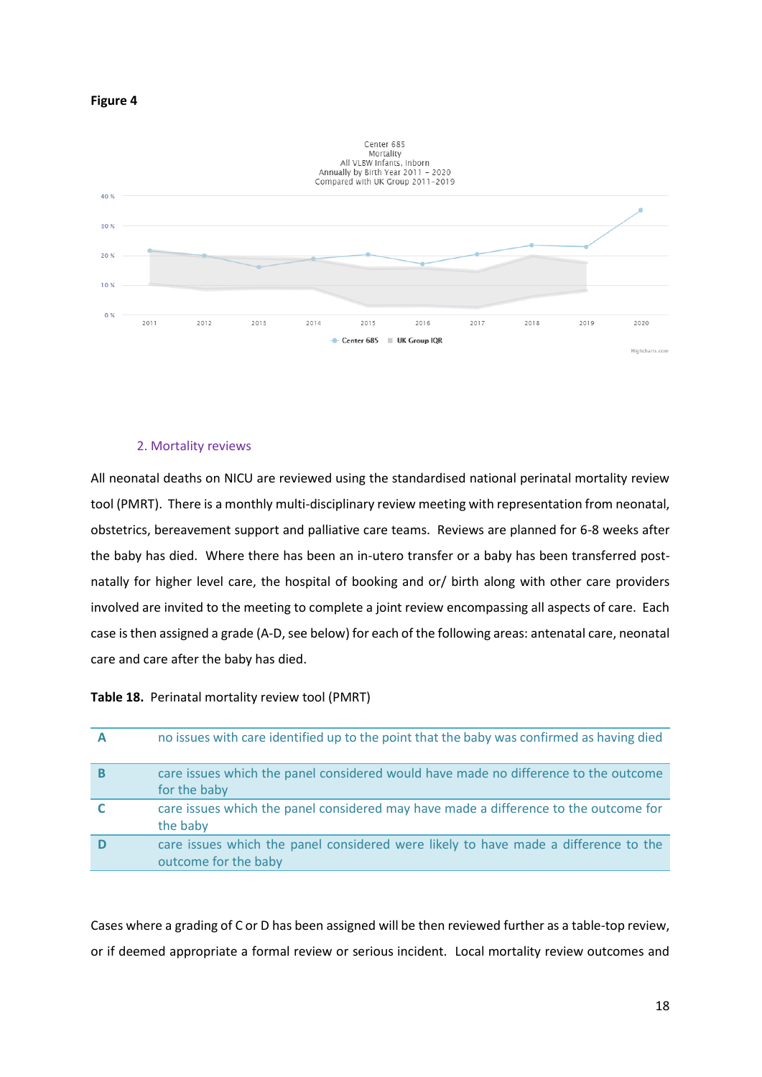



### 2. Mortality reviews

All neonatal deaths on NICU are reviewed using the standardised national perinatal mortality review tool (PMRT). There is a monthly multi-disciplinary review meeting with representation from neonatal, obstetrics, bereavement support and palliative care teams. Reviews are planned for 6-8 weeks after the baby has died. Where there has been an in-utero transfer or a baby has been transferred postnatally for higher level care, the hospital of booking and or/ birth along with other care providers involved are invited to the meeting to complete a joint review encompassing all aspects of care. Each case is then assigned a grade (A-D, see below) for each of the following areas: antenatal care, neonatal care and care after the baby has died.

**Table 18.** Perinatal mortality review tool (PMRT)

| А | no issues with care identified up to the point that the baby was confirmed as having died                   |
|---|-------------------------------------------------------------------------------------------------------------|
| в | care issues which the panel considered would have made no difference to the outcome<br>for the baby         |
|   | care issues which the panel considered may have made a difference to the outcome for<br>the baby            |
|   | care issues which the panel considered were likely to have made a difference to the<br>outcome for the baby |

Cases where a grading of C or D has been assigned will be then reviewed further as a table-top review, or if deemed appropriate a formal review or serious incident. Local mortality review outcomes and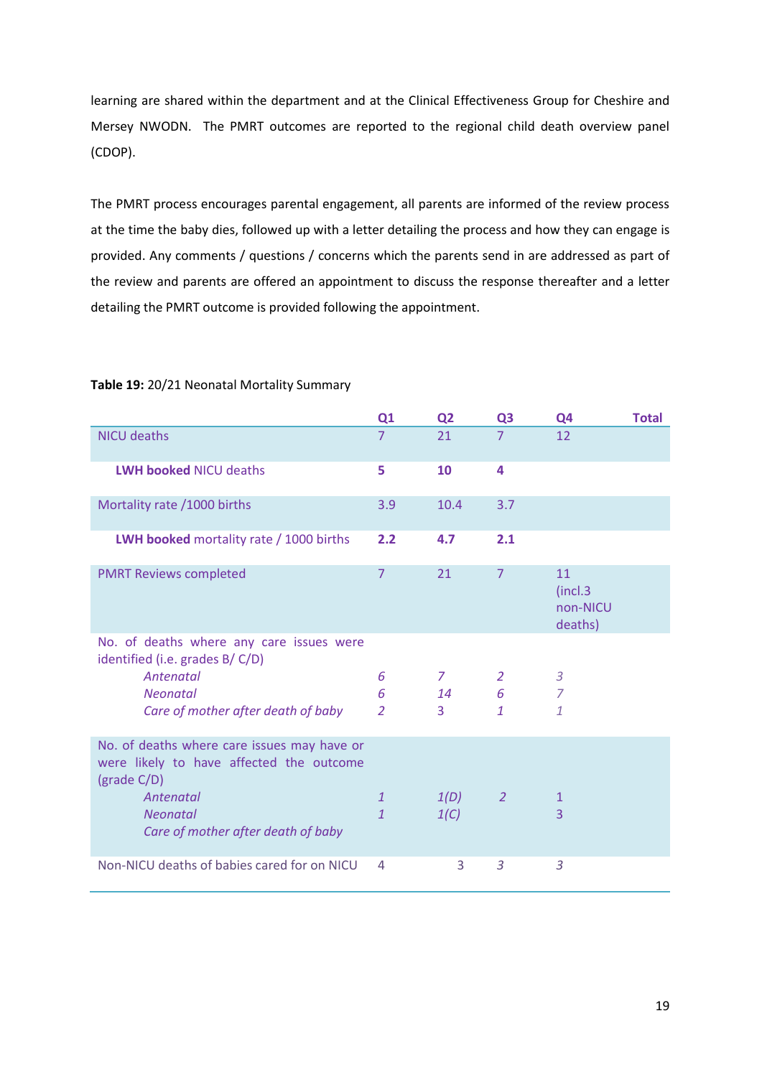learning are shared within the department and at the Clinical Effectiveness Group for Cheshire and Mersey NWODN. The PMRT outcomes are reported to the regional child death overview panel (CDOP).

The PMRT process encourages parental engagement, all parents are informed of the review process at the time the baby dies, followed up with a letter detailing the process and how they can engage is provided. Any comments / questions / concerns which the parents send in are addressed as part of the review and parents are offered an appointment to discuss the response thereafter and a letter detailing the PMRT outcome is provided following the appointment.

|                                                                                                        | Q1             | Q <sub>2</sub> | Q <sub>3</sub> | Q4                                    | <b>Total</b> |
|--------------------------------------------------------------------------------------------------------|----------------|----------------|----------------|---------------------------------------|--------------|
| <b>NICU deaths</b>                                                                                     | $\overline{7}$ | 21             | $\overline{7}$ | 12                                    |              |
| <b>LWH booked NICU deaths</b>                                                                          | 5              | 10             | 4              |                                       |              |
| Mortality rate /1000 births                                                                            | 3.9            | 10.4           | 3.7            |                                       |              |
| <b>LWH booked</b> mortality rate / 1000 births                                                         | 2.2            | 4.7            | 2.1            |                                       |              |
| <b>PMRT Reviews completed</b>                                                                          | $\overline{7}$ | 21             | $\overline{7}$ | 11<br>(incl.3)<br>non-NICU<br>deaths) |              |
| No. of deaths where any care issues were<br>identified (i.e. grades B/C/D)                             |                |                |                |                                       |              |
| Antenatal                                                                                              | 6              | 7              | 2              | $\mathfrak{Z}$                        |              |
| <b>Neonatal</b>                                                                                        | 6              | 14             | 6              | $\overline{7}$                        |              |
| Care of mother after death of baby                                                                     | $\overline{2}$ | 3              | $\mathbf{1}$   | $\mathbf{1}$                          |              |
| No. of deaths where care issues may have or<br>were likely to have affected the outcome<br>(grade C/D) |                |                |                |                                       |              |
| Antenatal                                                                                              | $\mathbf{1}$   | 1(D)           | 2              | $\mathbf{1}$                          |              |
| <b>Neonatal</b><br>Care of mother after death of baby                                                  | $\mathbf{1}$   | 1(C)           |                | $\overline{3}$                        |              |
| Non-NICU deaths of babies cared for on NICU                                                            | 4              | 3              | 3              | 3                                     |              |

## **Table 19:** 20/21 Neonatal Mortality Summary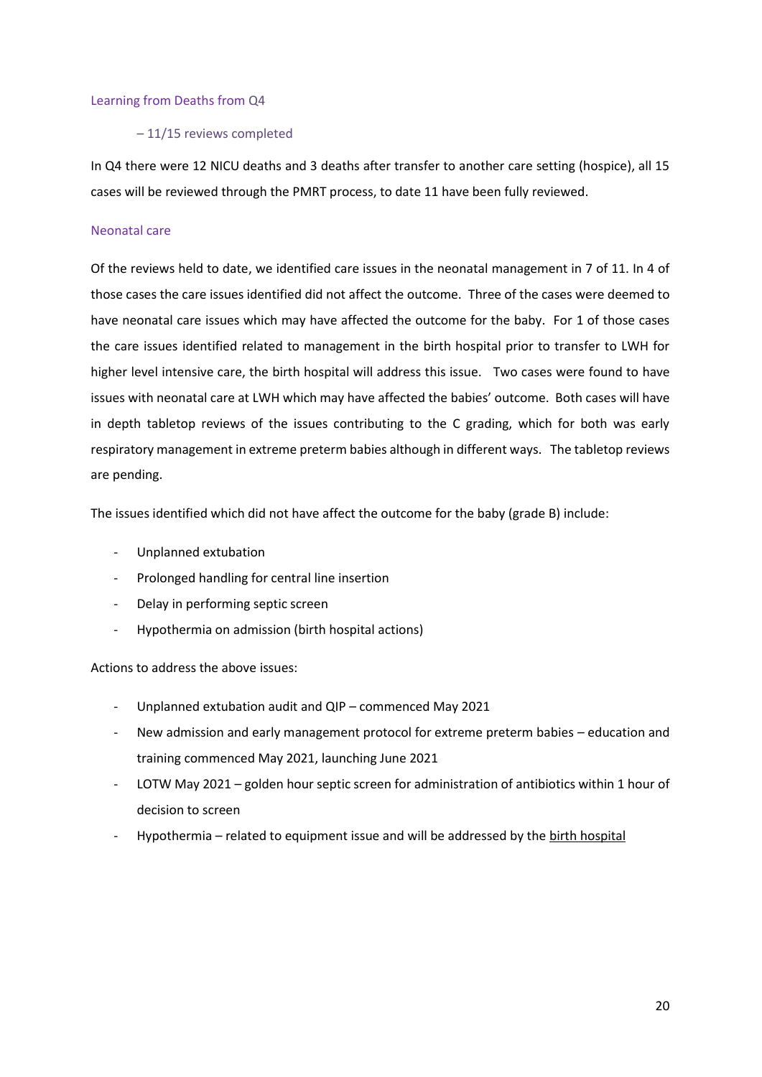### Learning from Deaths from Q4

### – 11/15 reviews completed

In Q4 there were 12 NICU deaths and 3 deaths after transfer to another care setting (hospice), all 15 cases will be reviewed through the PMRT process, to date 11 have been fully reviewed.

## Neonatal care

Of the reviews held to date, we identified care issues in the neonatal management in 7 of 11. In 4 of those cases the care issues identified did not affect the outcome. Three of the cases were deemed to have neonatal care issues which may have affected the outcome for the baby. For 1 of those cases the care issues identified related to management in the birth hospital prior to transfer to LWH for higher level intensive care, the birth hospital will address this issue. Two cases were found to have issues with neonatal care at LWH which may have affected the babies' outcome. Both cases will have in depth tabletop reviews of the issues contributing to the C grading, which for both was early respiratory management in extreme preterm babies although in different ways. The tabletop reviews are pending.

The issues identified which did not have affect the outcome for the baby (grade B) include:

- Unplanned extubation
- Prolonged handling for central line insertion
- Delay in performing septic screen
- Hypothermia on admission (birth hospital actions)

Actions to address the above issues:

- Unplanned extubation audit and QIP commenced May 2021
- New admission and early management protocol for extreme preterm babies education and training commenced May 2021, launching June 2021
- LOTW May 2021 golden hour septic screen for administration of antibiotics within 1 hour of decision to screen
- Hypothermia related to equipment issue and will be addressed by the birth hospital